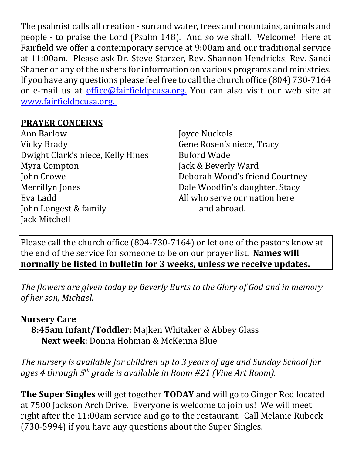The psalmist calls all creation - sun and water, trees and mountains, animals and people - to praise the Lord (Psalm 148). And so we shall. Welcome! Here at Fairfield we offer a contemporary service at 9:00am and our traditional service at 11:00am. Please ask Dr. Steve Starzer, Rev. Shannon Hendricks, Rev. Sandi Shaner or any of the ushers for information on various programs and ministries. If you have any questions please feel free to call the church office (804) 730-7164 or e-mail us at *office@fairfieldpcusa.org*. You can also visit our web site at www.fairfieldpcusa.org.

## **PRAYER CONCERNS**

Ann Barlow Vicky Brady Dwight Clark's niece, Kelly Hines Myra Compton John Crowe Merrillyn Jones Eva Ladd John Longest & family Jack Mitchell

Joyce Nuckols Gene Rosen's niece, Tracy Buford Wade Jack & Beverly Ward Deborah Wood's friend Courtney Dale Woodfin's daughter, Stacy All who serve our nation here and abroad.

Please call the church office (804-730-7164) or let one of the pastors know at the end of the service for someone to be on our prayer list. **Names will normally be listed in bulletin for 3 weeks, unless we receive updates.**

*The flowers are given today by Beverly Burts to the Glory of God and in memory of her son, Michael.*

## **Nursery Care**

**8:45am Infant/Toddler:** Majken Whitaker & Abbey Glass **Next week**: Donna Hohman & McKenna Blue

*The nursery is available for children up to 3 years of age and Sunday School for ages 4 through 5th grade is available in Room #21 (Vine Art Room).*

**The Super Singles** will get together **TODAY** and will go to Ginger Red located at 7500 Jackson Arch Drive. Everyone is welcome to join us! We will meet right after the 11:00am service and go to the restaurant. Call Melanie Rubeck (730-5994) if you have any questions about the Super Singles.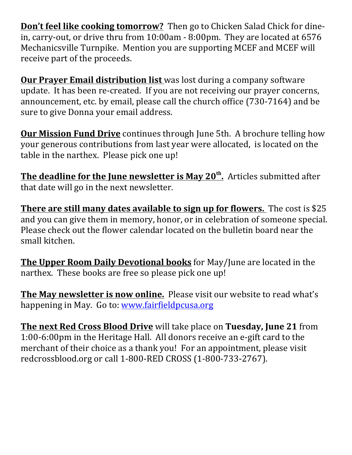**Don't feel like cooking tomorrow?** Then go to Chicken Salad Chick for dinein, carry-out, or drive thru from 10:00am - 8:00pm. They are located at 6576 Mechanicsville Turnpike. Mention you are supporting MCEF and MCEF will receive part of the proceeds.

**Our Prayer Email distribution list** was lost during a company software update. It has been re-created. If you are not receiving our prayer concerns, announcement, etc. by email, please call the church office (730-7164) and be sure to give Donna your email address.

**Our Mission Fund Drive** continues through June 5th. A brochure telling how your generous contributions from last year were allocated, is located on the table in the narthex. Please pick one up!

**The deadline for the June newsletter is May 20th.** Articles submitted after that date will go in the next newsletter.

**There are still many dates available to sign up for flowers.** The cost is \$25 and you can give them in memory, honor, or in celebration of someone special. Please check out the flower calendar located on the bulletin board near the small kitchen.

**The Upper Room Daily Devotional books** for May/June are located in the narthex. These books are free so please pick one up!

**The May newsletter is now online.** Please visit our website to read what's happening in May. Go to: www.fairfieldpcusa.org

**The next Red Cross Blood Drive** will take place on **Tuesday, June 21** from 1:00-6:00pm in the Heritage Hall. All donors receive an e-gift card to the merchant of their choice as a thank you! For an appointment, please visit redcrossblood.org or call 1-800-RED CROSS (1-800-733-2767).